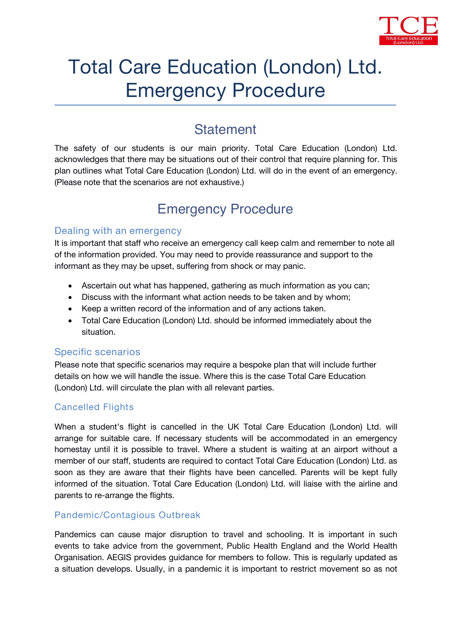

# Total Care Education (London) Ltd. Emergency Procedure

### **Statement**

The safety of our students is our main priority. *Total Care Education (London) Ltd.* acknowledges that there may be situations out of their control that require planning for. This plan outlines what *Total Care Education (London) Ltd.* will do in the event of an emergency. (Please note that the scenarios are not exhaustive.)

## **Emergency Procedure**

#### **Dealing with an emergency**

It is important that staff who receive an emergency call keep calm and remember to note all of the information provided. You may need to provide reassurance and support to the informant as they may be upset, suffering from shock or may panic.

- Ascertain out what has happened, gathering as much information as you can;
- Discuss with the informant what action needs to be taken and by whom;
- Keep a written record of the information and of any actions taken.
- Total Care Education (London) Ltd. should be informed immediately about the situation.

#### **Specific scenarios**

Please note that specific scenarios may require a bespoke plan that will include further details on how we will handle the issue. Where this is the case *Total Care Education (London) Ltd.* will circulate the plan with all relevant parties.

#### Cancelled Flights

When a student's flight is cancelled in the UK *Total Care Education (London) Ltd.* will arrange for suitable care. If necessary students will be accommodated in an emergency homestay until it is possible to travel. Where a student is waiting at an airport without a member of our staff, students are required to contact *Total Care Education (London) Ltd.* as soon as they are aware that their flights have been cancelled. Parents will be kept fully informed of the situation. *Total Care Education (London) Ltd.* will liaise with the airline and parents to re-arrange the flights.

#### Pandemic/Contagious Outbreak

Pandemics can cause major disruption to travel and schooling. It is important in such events to take advice from the government, Public Health England and the World Health Organisation. AEGIS provides guidance for members to follow. This is regularly updated as a situation develops. Usually, in a pandemic it is important to restrict movement so as not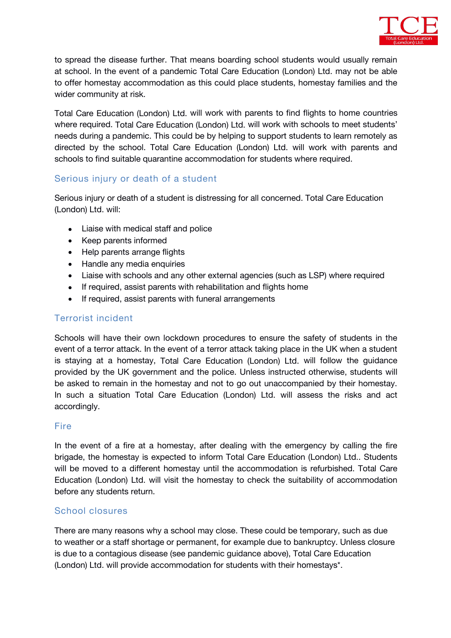

to spread the disease further. That means boarding school students would usually remain at school. In the event of a pandemic *Total Care Education (London) Ltd.* may not be able to offer homestay accommodation as this could place students, homestay families and the wider community at risk.

*Total Care Education (London) Ltd.* will work with parents to find flights to home countries where required. *Total Care Education (London) Ltd.* will work with schools to meet students' needs during a pandemic. This could be by helping to support students to learn remotely as directed by the school. *Total Care Education (London) Ltd.* will work with parents and schools to find suitable quarantine accommodation for students where required.

#### Serious injury or death of a student

Serious injury or death of a student is distressing for all concerned. *Total Care Education (London) Ltd.* will:

- Liaise with medical staff and police
- Keep parents informed
- Help parents arrange flights
- Handle any media enquiries
- Liaise with schools and any other external agencies (such as LSP) where required
- If required, assist parents with rehabilitation and flights home
- If required, assist parents with funeral arrangements

#### Terrorist incident

Schools will have their own lockdown procedures to ensure the safety of students in the event of a terror attack. In the event of a terror attack taking place in the UK when a student is staying at a homestay, *Total Care Education (London) Ltd.* will follow the guidance provided by the UK government and the police. Unless instructed otherwise, students will be asked to remain in the homestay and not to go out unaccompanied by their homestay. In such a situation *Total Care Education (London) Ltd.* will assess the risks and act accordingly.

#### **Fire**

In the event of a fire at a homestay, after dealing with the emergency by calling the fire brigade, the homestay is expected to inform *Total Care Education (London) Ltd..* Students will be moved to a different homestay until the accommodation is refurbished. *Total Care Education (London) Ltd.* will visit the homestay to check the suitability of accommodation before any students return.

#### School closures

There are many reasons why a school may close. These could be temporary, such as due to weather or a staff shortage or permanent, for example due to bankruptcy. Unless closure is due to a contagious disease (see pandemic guidance above), *TotalCare Education (London) Ltd.* will provide accommodation for students with their homestays\*.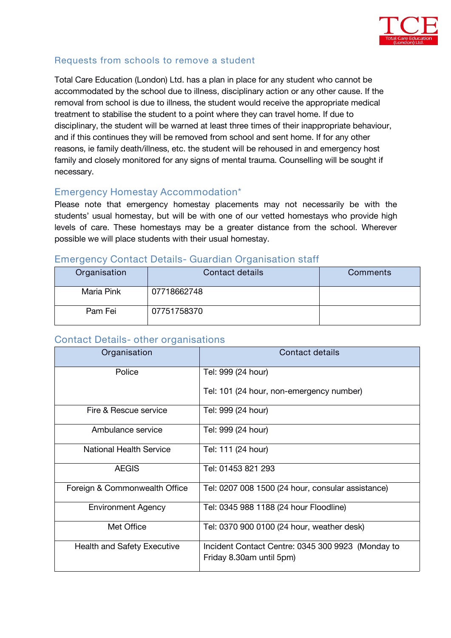

#### Requests from schools to remove a student

*Total Care Education (London) Ltd.* has a plan in place forany student who cannot be accommodated by the school due to illness, disciplinary action or any other cause. *If the removal from school is due to illness, the student would receive the appropriate medical treatment to stabilise the student to a point where they can travel home. If due to disciplinary, the student willbe warned at least three times of their inappropriate behaviour, and if this continues they will be removed from school and sent home. If for any other reasons, ie family death/illness, etc. the student will be rehoused in and emergency host family and closely monitored for any signs of mental trauma. Counselling will be sought if necessary.*

#### **Emergency Homestay Accommodation\***

Please note that emergency homestay placements may not necessarily be with the students' usual homestay, but will be with one of our vetted homestays who provide high levels of care. These homestays may be a greater distance from the school. Wherever possible we will place students with their usual homestay.

## **Organisation Contact details Comments** Maria Pink 107718662748

#### **Emergency Contact Details- Guardian Organisation staff**

#### **Contact Details- other organisations**

Pam Fei 07751758370

| Organisation                       | Contact details                                                               |
|------------------------------------|-------------------------------------------------------------------------------|
| Police                             | Tel: 999 (24 hour)                                                            |
|                                    | Tel: 101 (24 hour, non-emergency number)                                      |
| Fire & Rescue service              | Tel: 999 (24 hour)                                                            |
| Ambulance service                  | Tel: 999 (24 hour)                                                            |
| <b>National Health Service</b>     | Tel: 111 (24 hour)                                                            |
| <b>AEGIS</b>                       | Tel: 01453 821 293                                                            |
| Foreign & Commonwealth Office      | Tel: 0207 008 1500 (24 hour, consular assistance)                             |
| <b>Environment Agency</b>          | Tel: 0345 988 1188 (24 hour Floodline)                                        |
| Met Office                         | Tel: 0370 900 0100 (24 hour, weather desk)                                    |
| <b>Health and Safety Executive</b> | Incident Contact Centre: 0345 300 9923 (Monday to<br>Friday 8.30am until 5pm) |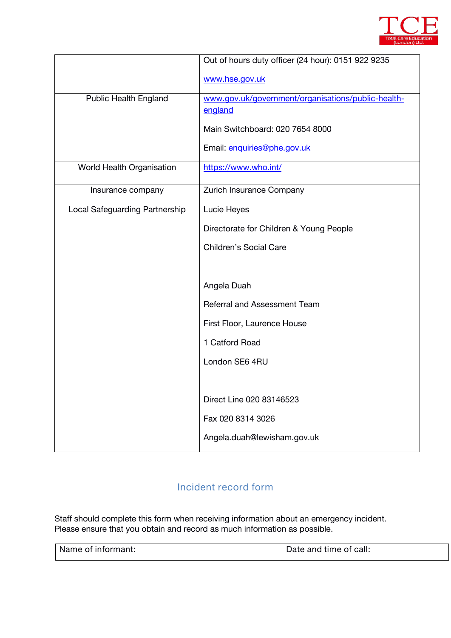

|                                | Out of hours duty officer (24 hour): 0151 922 9235 |
|--------------------------------|----------------------------------------------------|
|                                | www.hse.gov.uk                                     |
| Public Health England          | www.gov.uk/government/organisations/public-health- |
|                                | england                                            |
|                                | Main Switchboard: 020 7654 8000                    |
|                                | Email: enquiries@phe.gov.uk                        |
| World Health Organisation      | https://www.who.int/                               |
| Insurance company              | Zurich Insurance Company                           |
| Local Safeguarding Partnership | Lucie Heyes                                        |
|                                | Directorate for Children & Young People            |
|                                | Children's Social Care                             |
|                                |                                                    |
|                                | Angela Duah                                        |
|                                | <b>Referral and Assessment Team</b>                |
|                                | First Floor, Laurence House                        |
|                                | 1 Catford Road                                     |
|                                | London SE6 4RU                                     |
|                                |                                                    |
|                                | Direct Line 020 83146523                           |
|                                | Fax 020 8314 3026                                  |
|                                | Angela.duah@lewisham.gov.uk                        |
|                                |                                                    |

#### **Incident record form**

Staff should complete this form when receiving information about an emergency incident. Please ensure that you obtain and record as much information as possible.

| Name<br>$1.00 - 0.000 - 0.00 - 0.00$<br>--<br>ΟI<br>informant. | -<br>----<br>$\cdots$<br>≅call:<br>and<br>TILLE<br>Dale<br>ΩL<br>. |
|----------------------------------------------------------------|--------------------------------------------------------------------|
|----------------------------------------------------------------|--------------------------------------------------------------------|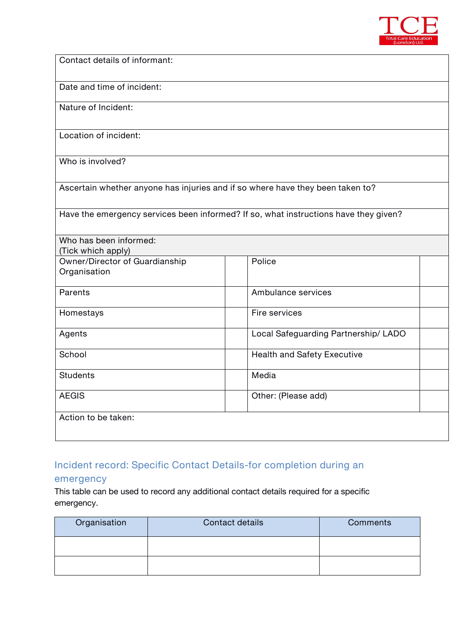

**Contact details of informant:**

**Date and time of incident:**

**Nature of Incident:**

**Location of incident:**

**Who is involved?**

**Ascertain whether anyone has injuries and if so where have they been taken to?**

**Have the emergency services been informed? If so, what instructions have they given?**

| Who has been informed:         |                                      |  |  |
|--------------------------------|--------------------------------------|--|--|
| (Tick which apply)             |                                      |  |  |
| Owner/Director of Guardianship | Police                               |  |  |
| Organisation                   |                                      |  |  |
| Parents                        | Ambulance services                   |  |  |
| Homestays                      | Fire services                        |  |  |
| Agents                         | Local Safeguarding Partnership/ LADO |  |  |
| School                         | <b>Health and Safety Executive</b>   |  |  |
| <b>Students</b>                | Media                                |  |  |
| <b>AEGIS</b>                   | Other: (Please add)                  |  |  |
| Action to be taken:            |                                      |  |  |

#### **Incident record: Specific Contact Details-for completion during an**

#### **emergency**

This table can be used to record any additional contact details required for a specific emergency.

| Organisation | Contact details | Comments |
|--------------|-----------------|----------|
|              |                 |          |
|              |                 |          |